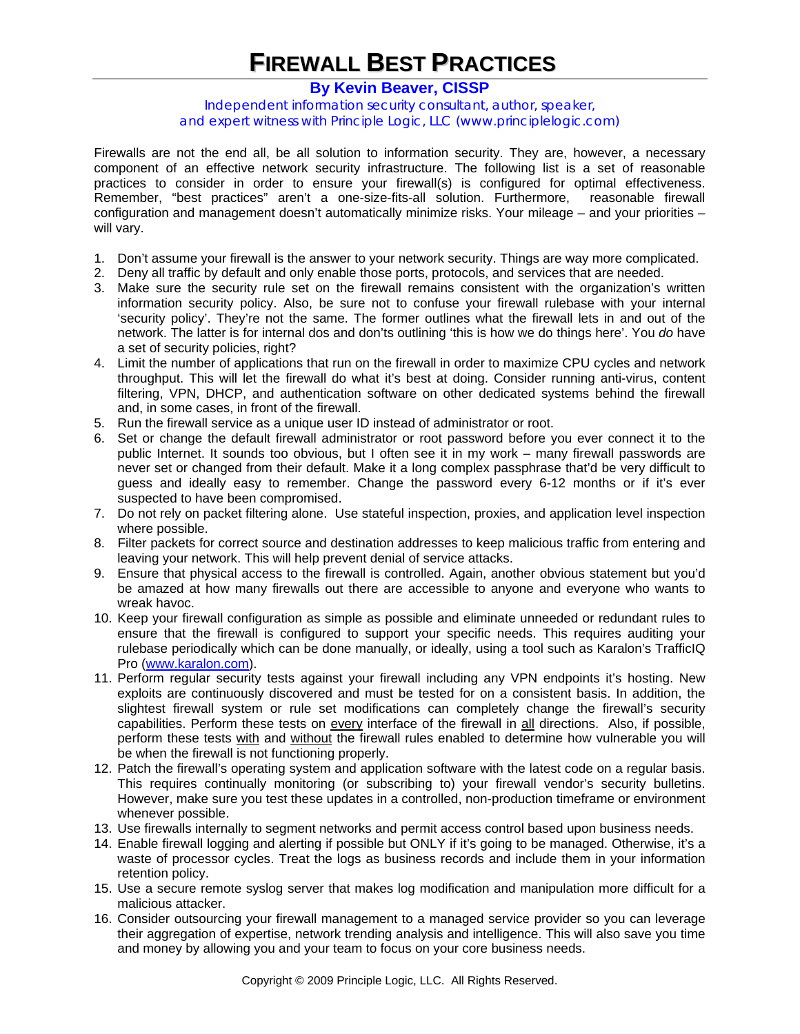## **FIREWALL BEST PRACTICES**

## **[By Kevin Beaver, CISSP](www.principlelogic.com/about.html)**

Independent information security consultant, author, speaker, and expert witness with Principle Logic, LLC (www.principlelogic.com)

Firewalls are not the end all, be all solution to information security. They are, however, a necessary component of an effective network security infrastructure. The following list is a set of reasonable practices to consider in order to ensure your firewall(s) is configured for optimal effectiveness. Remember, "best practices" aren't a one-size-fits-all solution. Furthermore, reasonable firewall configuration and management doesn't automatically minimize risks. Your mileage – and your priorities – will vary.

- 1. Don't assume your firewall is the answer to your network security. Things are way more complicated.
- 2. Deny all traffic by default and only enable those ports, protocols, and services that are needed.
- 3. Make sure the security rule set on the firewall remains consistent with the organization's written information security policy. Also, be sure not to confuse your firewall rulebase with your internal 'security policy'. They're not the same. The former outlines what the firewall lets in and out of the network. The latter is for internal dos and don'ts outlining 'this is how we do things here'. You *do* have a set of security policies, right?
- 4. Limit the number of applications that run on the firewall in order to maximize CPU cycles and network throughput. This will let the firewall do what it's best at doing. Consider running anti-virus, content filtering, VPN, DHCP, and authentication software on other dedicated systems behind the firewall and, in some cases, in front of the firewall.
- 5. Run the firewall service as a unique user ID instead of administrator or root.
- 6. Set or change the default firewall administrator or root password before you ever connect it to the public Internet. It sounds too obvious, but I often see it in my work – many firewall passwords are never set or changed from their default. Make it a long complex passphrase that'd be very difficult to guess and ideally easy to remember. Change the password every 6-12 months or if it's ever suspected to have been compromised.
- 7. Do not rely on packet filtering alone. Use stateful inspection, proxies, and application level inspection where possible.
- 8. Filter packets for correct source and destination addresses to keep malicious traffic from entering and leaving your network. This will help prevent denial of service attacks.
- 9. Ensure that physical access to the firewall is controlled. Again, another obvious statement but you'd be amazed at how many firewalls out there are accessible to anyone and everyone who wants to wreak havoc.
- 10. Keep your firewall configuration as simple as possible and eliminate unneeded or redundant rules to ensure that the firewall is configured to support your specific needs. This requires auditing your rulebase periodically which can be done manually, or ideally, using a tool such as Karalon's TrafficIQ Pro (www.karalon.com).
- 11. Perform regular security tests against your firewall including any VPN endpoints it's hosting. New exploits are continuously discovered and must be tested for on a consistent basis. In addition, the slightest firewall system or rule set modifications can completely change the firewall's security capabilities. Perform these tests on every interface of the firewall in all directions. Also, if possible, perform these tests with and without the firewall rules enabled to determine how vulnerable you will be when the firewall is not functioning properly.
- 12. Patch the firewall's operating system and application software with the latest code on a regular basis. This requires continually monitoring (or subscribing to) your firewall vendor's security bulletins. However, make sure you test these updates in a controlled, non-production timeframe or environment whenever possible.
- 13. Use firewalls internally to segment networks and permit access control based upon business needs.
- 14. Enable firewall logging and alerting if possible but ONLY if it's going to be managed. Otherwise, it's a waste of processor cycles. Treat the logs as business records and include them in your information retention policy.
- 15. Use a secure remote syslog server that makes log modification and manipulation more difficult for a malicious attacker.
- 16. Consider outsourcing your firewall management to a managed service provider so you can leverage their aggregation of expertise, network trending analysis and intelligence. This will also save you time and money by allowing you and your team to focus on your core business needs.